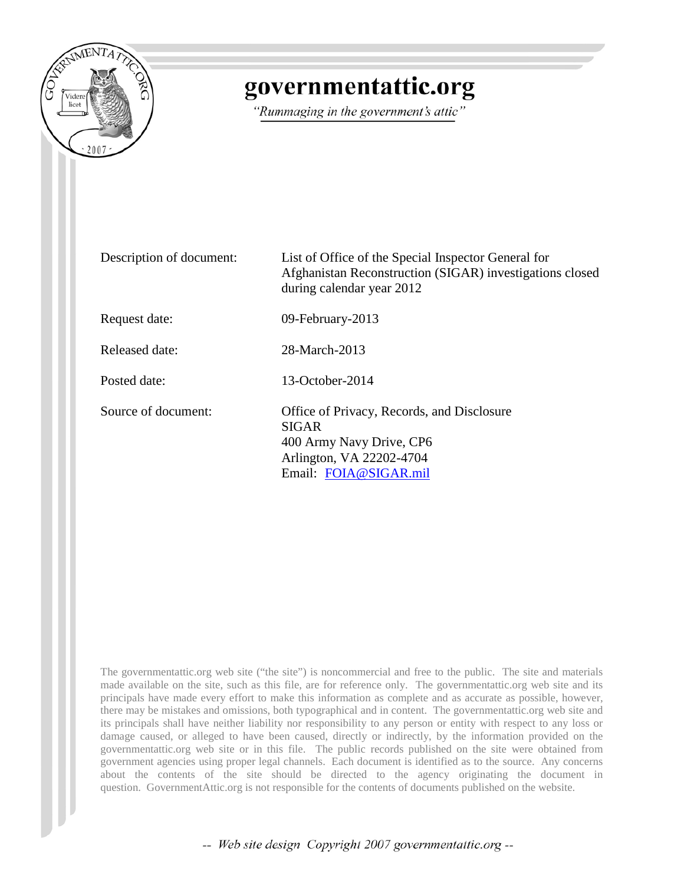

## governmentattic.org

"Rummaging in the government's attic"

| Description of document: | List of Office of the Special Inspector General for<br>Afghanistan Reconstruction (SIGAR) investigations closed<br>during calendar year 2012 |
|--------------------------|----------------------------------------------------------------------------------------------------------------------------------------------|
| Request date:            | 09-February-2013                                                                                                                             |
| Released date:           | 28-March-2013                                                                                                                                |
| Posted date:             | 13-October-2014                                                                                                                              |
| Source of document:      | Office of Privacy, Records, and Disclosure<br><b>SIGAR</b><br>400 Army Navy Drive, CP6<br>Arlington, VA 22202-4704<br>Email: FOIA@SIGAR.mil  |

The governmentattic.org web site ("the site") is noncommercial and free to the public. The site and materials made available on the site, such as this file, are for reference only. The governmentattic.org web site and its principals have made every effort to make this information as complete and as accurate as possible, however, there may be mistakes and omissions, both typographical and in content. The governmentattic.org web site and its principals shall have neither liability nor responsibility to any person or entity with respect to any loss or damage caused, or alleged to have been caused, directly or indirectly, by the information provided on the governmentattic.org web site or in this file. The public records published on the site were obtained from government agencies using proper legal channels. Each document is identified as to the source. Any concerns about the contents of the site should be directed to the agency originating the document in question. GovernmentAttic.org is not responsible for the contents of documents published on the website.

-- Web site design Copyright 2007 governmentattic.org --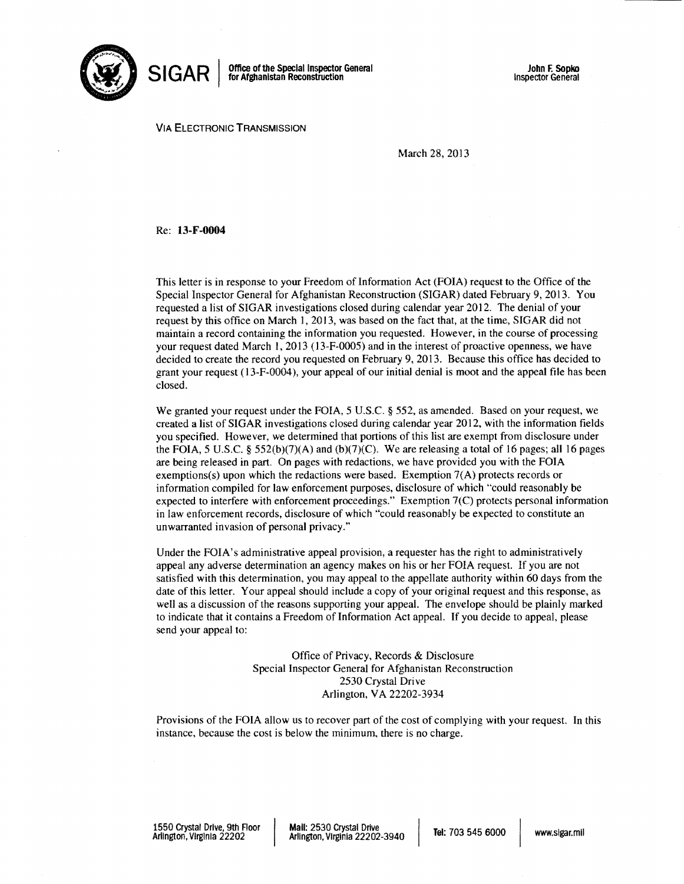

 $\textsf{SIGAR} \parallel^\textsf{office of the Special Inspection}$  General for Afghanistan Reconstruction

VIA ELECTRONIC TRANSMISSION

March 28, 2013

Re: 13-F-0004

This letter is in response to your Freedom of Information Act (FOIA) request to the Office of the Special Inspector General for Afghanistan Reconstruction (SIGAR) dated February 9, 2013. You requested a list of SIG AR investigations closed during calendar year 2012. The denial of your request by this office on March l, 2013, was based on the fact that, at the time, SIGAR did not maintain a record containing the information you requested. However, in the course of processing your request dated March I, 2013 (13-F-0005) and in the interest of proactive openness, we have decided to create the record you requested on February 9, 2013. Because this office has decided to grant your request (13-F-0004), your appeal of our initial denial is moot and the appeal file has been closed.

We granted your request under the FOIA, 5 U.S.C. § 552, as amended. Based on your request, we created a list of SIGAR investigations closed during calendar year 2012, with the information fields you specified. However, we determined that portions of this list are exempt from disclosure under the FOIA, 5 U.S.C. § 552(b)(7)(A) and (b)(7)(C). We are releasing a total of 16 pages; all 16 pages are being released in part. On pages with redactions, we have provided you with the FOIA exemptions(s) upon which the redactions were based. Exemption  $7(A)$  protects records or information compiled for law enforcement purposes, disclosure of which "could reasonably be expected to interfere with enforcement proceedings." Exemption 7(C) protects personal information in law enforcement records, disclosure of which "could reasonably be expected to constitute an unwarranted invasion of personal privacy."

Under the FOIA's administrative appeal provision, a requester has the right to administratively appeal any adverse determination an agency makes on his or her FOIA request. If you are not satisfied with this determination, you may appeal to the appellate authority within 60 days from the date of this letter. Your appeal should include a copy of your original request and this response, as well as a discussion of the reasons supporting your appeal. The envelope should be plainly marked to indicate that it contains a Freedom of Information Act appeal. If you decide to appeal, please send your appeal to:

> Office of Privacy, Records & Disclosure Special Inspector General for Afghanistan Reconstruction 2530 Crystal Drive Arlington, VA 22202-3934

Provisions of the FOIA allow us to recover part of the cost of complying with your request. In this instance, because the cost is below the minimum, there is no charge.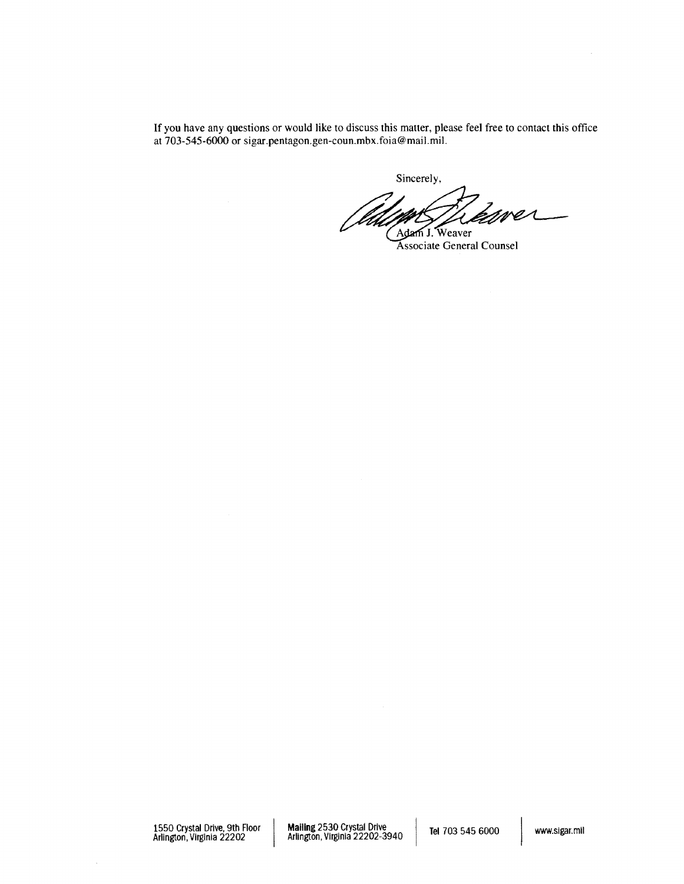If you have any questions or would like to discuss this matter, please feel free to contact this office at 703-545-6000 or sigar.pentagon.gen-coun.mbx.foia@mail.mil.

Sincerely,

ner Adam J. Weaver

Associate General Counsel

 $\alpha$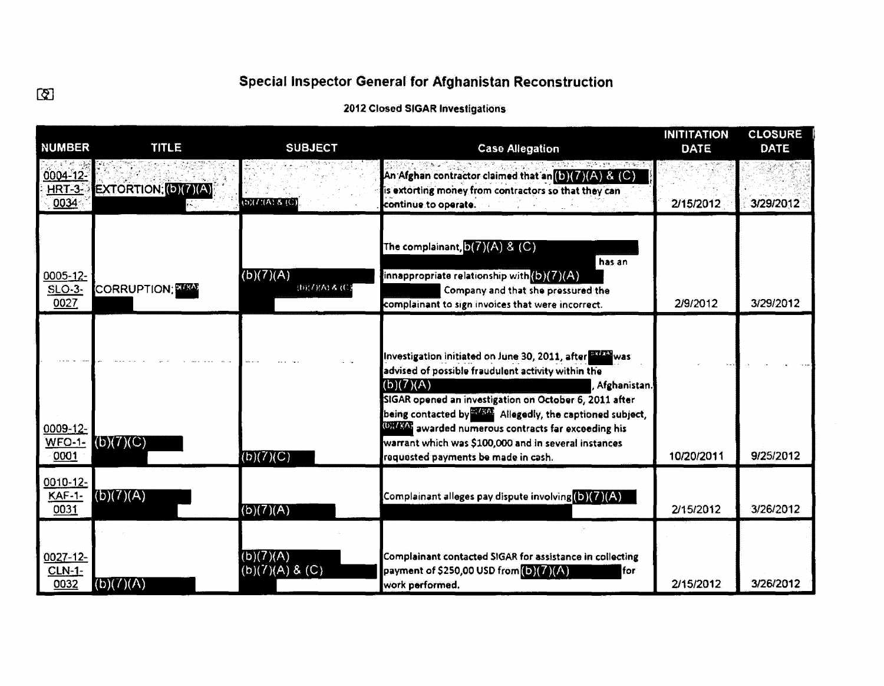## Special Inspector General for Afghanistan Reconstruction

## 2012 Closed SIGAR Investigations

| <b>NUMBER</b>                     | <b>TITLE</b>            | <b>SUBJECT</b>                                                        | <b>Case Allegation</b>                                                                                                                                                                                                                                                                                                                                                                                                                            | <b>INITITATION</b><br><b>DATE</b> | <b>CLOSURE</b><br><b>DATE</b> |
|-----------------------------------|-------------------------|-----------------------------------------------------------------------|---------------------------------------------------------------------------------------------------------------------------------------------------------------------------------------------------------------------------------------------------------------------------------------------------------------------------------------------------------------------------------------------------------------------------------------------------|-----------------------------------|-------------------------------|
| 0004-12-<br>$HRT-3$<br>0034       | EXTORTION; (b)(7)(A)    | (D)(I)(A) 8 (C)                                                       | <b>AND DES RACHA VERSION</b><br>An Afghan contractor claimed that an $(\mathbf{b})(7)(\mathsf{A})$ & $(\mathbf{C})$<br>is extorting money from contractors so that they can<br>continue to operate.                                                                                                                                                                                                                                               | 2/15/2012                         | 3/29/2012                     |
| 0005-12-<br>SLO-3-<br>0027        | <b>CORRUPTION; ETAM</b> | (b)(7)(A)<br>$(0)(I)(\Lambda) \& (C)$                                 | The complainant, $b(7)(A)$ & $(C)$<br>has an<br>innappropriate relationship with (b) (7) (A)<br>Company and that she pressured the<br>complainant to sign invoices that were incorrect.                                                                                                                                                                                                                                                           | 2/9/2012                          | 3/29/2012                     |
| 0009-12-<br><b>WFO-1-</b><br>0001 | (b)(7)(C)               | $\sqrt{(b)(7)(C)}$                                                    | Investigation initiated on June 30, 2011, after <b>HILLS</b> was<br>advised of possible fraudulent activity within the<br>(b)(7)(A)<br>, Afghanistan.<br>SIGAR opened an investigation on October 6, 2011 after<br>being contacted by <b>ECKA</b> Allegedly, the captioned subject,<br><b>ION HAT</b> awarded numerous contracts far exceeding his<br>warrant which was \$100,000 and in several instances<br>requested payments be made in cash. | 10/20/2011                        | 9/25/2012                     |
| 0010-12-<br><b>KAF-1-</b><br>0031 | (b)(7)(A)               | (b)(7)(A)                                                             | Complainant alleges pay dispute involving $(\mathsf{D})(7)(\mathsf{A})$                                                                                                                                                                                                                                                                                                                                                                           | 2/15/2012                         | 3/26/2012                     |
| 0027-12-<br><b>CLN-1-</b><br>0032 | (GE)(7)(A)              | $\overline{\mathsf{(b)}}\mathsf{(7)}\mathsf{(A)}.$<br>(b)(7)(A) 8 (C) | Complainant contacted SIGAR for assistance in collecting<br>payment of \$250,00 USD from (b)(7)(A)<br>for<br>work performed.                                                                                                                                                                                                                                                                                                                      | 2/15/2012                         | 3/26/2012                     |

 $\boxed{3}$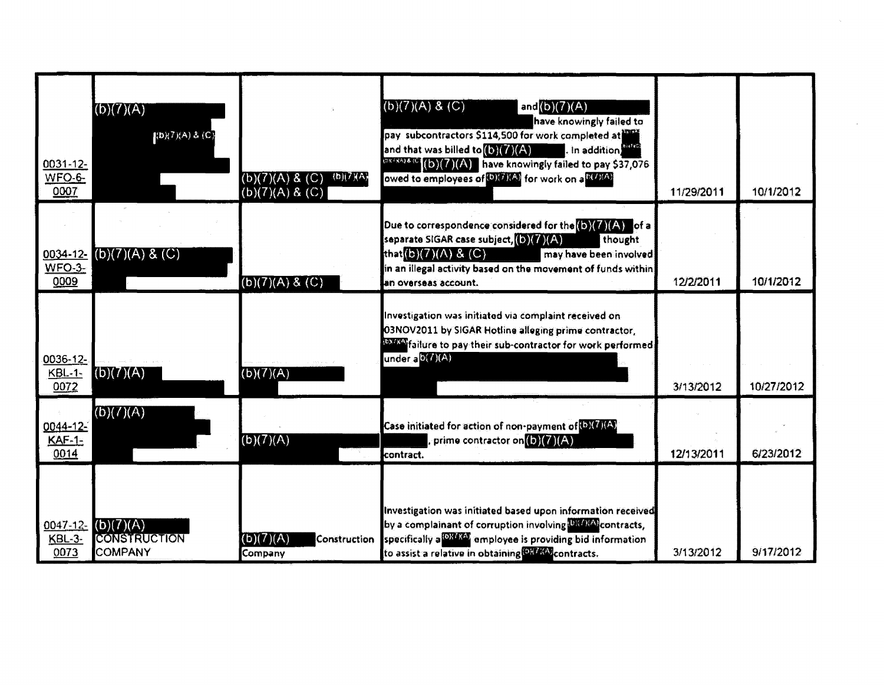| 0031-12-<br><b>WFO-6-</b><br>0007 | (b)(7)(A)<br>(2)(7)(A) 8 (C)                | $(b)(7)(A) 8 (C)$ (b)(7)(A)<br>(b)(7)(A) & (C) | (b)(7)(A) 8 (C)<br>and $(b)(7)(A)$<br>have knowingly failed to<br>pay subcontractors \$114,500 for work completed at<br>and that was billed to $(5)(7)(A)$<br>. In addition<br>(bxxxx) 8 (c) (C) (C) (A) have knowingly failed to pay \$37,076<br>owed to employees of (D)(7)(A) for work on a D(7RA) | 11/29/2011 | 10/1/2012  |
|-----------------------------------|---------------------------------------------|------------------------------------------------|-------------------------------------------------------------------------------------------------------------------------------------------------------------------------------------------------------------------------------------------------------------------------------------------------------|------------|------------|
| <b>WFO-3-</b><br>0009             | 0034-12- (b)(7)(A) & (C)                    | (b)(7)(A) 8 (C)                                | Due to correspondence considered for the $(b)(C)$ $(A)$ of a<br>separate SIGAR case subject, (b) (7)(A)<br>thought<br>that(b)(7)(A) & (C)<br>may have been involved<br>in an illegal activity based on the movement of funds within<br>an overseas account.                                           | 12/2/2011  | 10/1/2012  |
| 0036-12-<br>$KBL-1$ -<br>0072     | (b)(7)(A)                                   | (b)(7)(A)                                      | Investigation was initiated via complaint received on<br>03NOV2011 by SIGAR Hotline alleging prime contractor,<br><b>EXAMPLE 10 Day their sub-contractor for work performed</b><br>under a 0(7)(A)                                                                                                    | 3/13/2012  | 10/27/2012 |
| 0044-12-<br><b>KAF-1-</b><br>0014 | (b)(7)(A)                                   | (b)(7)(A)                                      | Case initiated for action of non-payment of OX7J(A)<br>prime contractor on $\mathbf{D}(\mathbf{Z})(\mathbf{A})$<br>contract.                                                                                                                                                                          | 12/13/2011 | 6/23/2012  |
| 0047-12-<br><b>KBL-3-</b><br>0073 | (b)(7)(A)<br>CONSTRUCTION<br><b>COMPANY</b> | (b)(7)(A)<br>Construction<br>Company           | Investigation was initiated based upon information received<br>by a complainant of corruption involving <b>(DKAIA)</b> contracts,<br>specifically a <b>CHAM</b> employee is providing bid information<br>to assist a relative in obtaining OK KO contracts.                                           | 3/13/2012  | 9/17/2012  |

 $\mathcal{A}^{\text{max}}_{\text{max}}$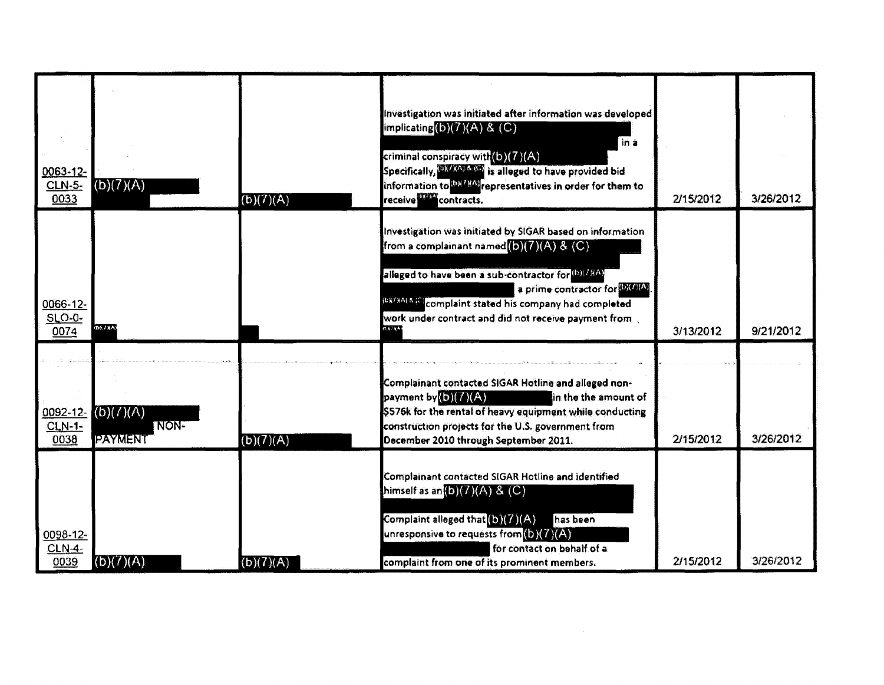| 0063-12-<br><b>CLN-5-</b><br>0033 | (b)(7)(A)                                         | (b)(7)(A)              | Investigation was initiated after information was developed<br>implicating(b)(7)(A) & (C)<br>in a<br>criminal conspiracy with $(b)(7)(A)$<br>Specifically, <b>EXAMPLES</b> is alleged to have provided bid<br>information to <b>DXAXD</b> representatives in order for them to<br>receive <b>DWW</b> contracts.                                                   | 2/15/2012 | 3/26/2012 |
|-----------------------------------|---------------------------------------------------|------------------------|-------------------------------------------------------------------------------------------------------------------------------------------------------------------------------------------------------------------------------------------------------------------------------------------------------------------------------------------------------------------|-----------|-----------|
| 0066-12-<br>$SLO-O-$<br>0074      | (b) / (A)                                         |                        | Investigation was initiated by SIGAR based on information<br>from a complainant named $(\mathsf{b})(7)(\mathsf{A})$ & $(\mathsf{C})$<br>alleged to have been a sub-contractor for (b) (A)(A)<br>a prime contractor for <b>OXAIA</b><br>(EX/RA) & Complaint stated his company had completed<br>work under contract and did not receive payment from<br>$0.3 - 14$ | 3/13/2012 | 9/21/2012 |
| <b>CLN-1-</b><br>0038             | $0092 - 12 - (b)(7)(A)$<br>NON-<br><b>PAYMENT</b> | (b)(7)(A)              | Complainant contacted SIGAR Hotline and alleged non-<br>payment by $(b)(7)(A)$<br>in the the amount of<br>\$576k for the rental of heavy equipment while conducting<br>construction projects for the U.S. government from<br>December 2010 through September 2011.                                                                                                | 2/15/2012 | 3/26/2012 |
| 0098-12-<br>$CLN-4$<br>0039       | (b)(7)(A)                                         | $\overline{(b)(7)(A)}$ | Complainant contacted SIGAR Hotline and identified<br>himself as an $(b)(7)(A)$ & $(C)$<br>Complaint alleged that $(b)(7)(A)$<br>has been<br>unresponsive to requests from $(5)(7)(A)$<br>for contact on behalf of a<br>complaint from one of its prominent members.                                                                                              | 2/15/2012 | 3/26/2012 |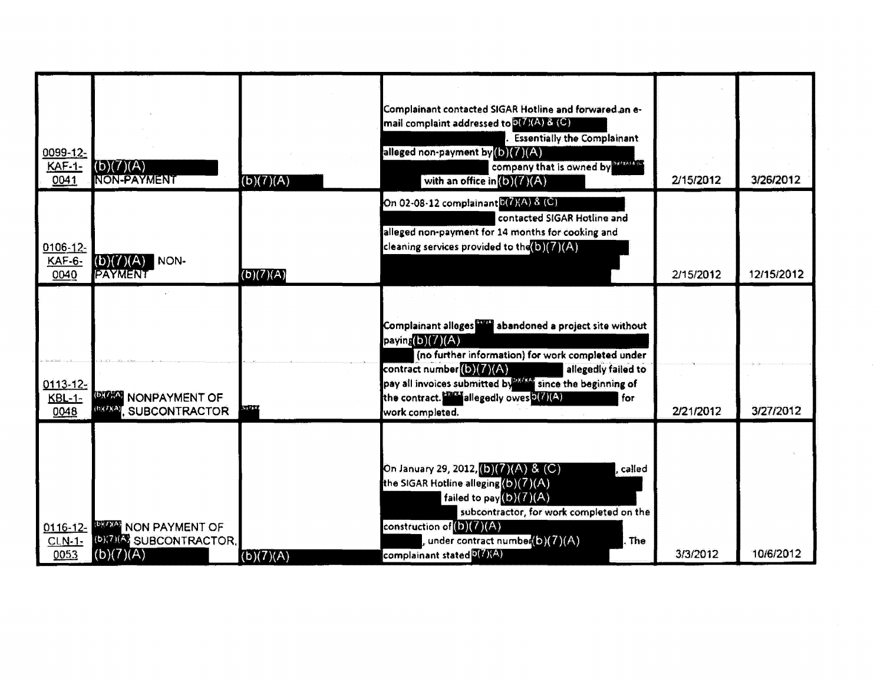| 0099-12-<br><b>KAF-1-</b><br>0041 | (b)(7)(A) <br>NON-PAYMENT                                          | (b)(7)(A)              | Complainant contacted SIGAR Hotline and forwared an e-<br>mail complaint addressed to D(Z(A) & (C)<br><b>Essentially the Complainant</b><br>alleged non-payment by (b) (7)(A)<br>company that is owned by<br>with an office in $(b)(7)(A)$                                                                             | 2/15/2012 | 3/26/2012  |
|-----------------------------------|--------------------------------------------------------------------|------------------------|------------------------------------------------------------------------------------------------------------------------------------------------------------------------------------------------------------------------------------------------------------------------------------------------------------------------|-----------|------------|
| 0106-12-<br><b>KAF-6-</b><br>0040 | $(b)(7)(A)$ NON-<br>PAYMENT                                        | $\overline{(b)(7)(A)}$ | On 02-08-12 complainant D(7)(A) & (C)<br>contacted SIGAR Hotline and<br>alleged non-payment for 14 months for cooking and<br>cleaning services provided to the (b)(7)(A)                                                                                                                                               | 2/15/2012 | 12/15/2012 |
| $0113 - 12 -$<br>$KBL-1-$<br>0048 | <b>WORK NONPAYMENT OF</b><br>303(7)(A)<br><b>SUBCONTRACTOR</b>     |                        | Complainant alleges and abandoned a project site without<br>paying(b) $(7)(A)$<br>(no further information) for work completed under<br>contract number $(b)(7)(A)$<br>allegedly failed to<br>pay all invoices submitted by since the beginning of<br>the contract. MAN allegedly owes (7)(A)<br>for<br>work completed. | 2/21/2012 | 3/27/2012  |
| $0116 - 12$<br>$CLN-1-$<br>0053   | <b>WAY NON PAYMENT OF</b><br>(D) 71(4) SUBCONTRACTOR.<br>(b)(7)(A) | (b)(7)(A)              | On January 29, 2012, (b) (7) (A) & (C)<br>called<br>the SIGAR Hotline alleging (b) (7) (A)<br>failed to pay $(b)(7)(A)$<br>subcontractor, for work completed on the<br>construction of $(b)(7)(A)$<br>under contract number(b)(7)(A)<br>The<br>complainant stated D(7)(A)                                              | 3/3/2012  | 10/6/2012  |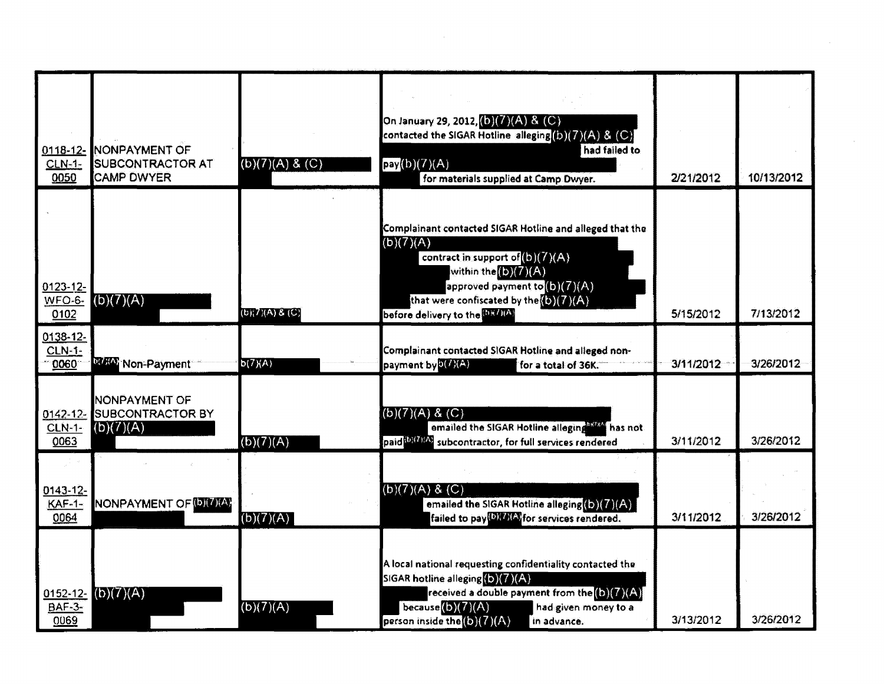| $0118 - 12 -$<br><b>CLN-1-</b><br>0050 | NONPAYMENT OF<br><b>SUBCONTRACTOR AT</b><br><b>CAMP DWYER</b> | (b)(7)(A) 8 (C)        | On January 29, 2012, (b)(7)(A) & (C)<br>contacted the SIGAR Hotline alleging(b)(7)(A) & (C)<br>had failed to<br>pay(b)(7)(A)<br>for materials supplied at Camp Dwyer.                                                                                   | 2/21/2012 | 10/13/2012 |
|----------------------------------------|---------------------------------------------------------------|------------------------|---------------------------------------------------------------------------------------------------------------------------------------------------------------------------------------------------------------------------------------------------------|-----------|------------|
| $0123 - 12$<br><b>WFO-6-</b><br>0102   | (b)(7)(A)                                                     | $(E)$ $(2)(A)$ & $(C)$ | Complainant contacted SIGAR Hotline and alleged that the<br>(b)(7)(A)<br>contract in support of (b)(7)(A)<br>within the $(b)(7)(A)$<br>approved payment to (b)(7)(A)<br>that were confiscated by the $(5)(7)(A)$<br>before delivery to the <b>BX41A</b> | 5/15/2012 | 7/13/2012  |
| 0138-12-<br>$CLN-1$ -<br>0060          | <b>MAW</b> Non-Payment                                        | b(7)(A)                | Complainant contacted SIGAR Hotline and alleged non-<br>payment by O(A)(A)<br>for a total of 36K.                                                                                                                                                       | 3/11/2012 | 3/26/2012  |
| $0142 - 12$<br><b>CLN-1-</b><br>0063   | NONPAYMENT OF<br><b>SUBCONTRACTOR BY</b><br>(b)(7)(A)         | (b)(7)(A)              | $(b)(7)(A)$ & $(C)$<br>emailed the SIGAR Hotline alleging that has not<br>paid <sup>(b)(7)/</sup> subcontractor, for full services rendered                                                                                                             | 3/11/2012 | 3/26/2012  |
| $0143 - 12$<br><b>KAF-1-</b><br>0064   | NONPAYMENT OF DIVIAL                                          | $\overline{(b)(7)(A)}$ | $(b)(7)(A)$ & $(C)$<br>emailed the SIGAR Hotline alleging(b)(7)(A)<br>failed to pay DX AC for services rendered.                                                                                                                                        | 3/11/2012 | 3/26/2012  |
| $0152 - 12$<br><b>BAF-3-</b><br>0069   | (b)(7)(A)                                                     | $\overline{(b)(7)(A)}$ | A local national requesting confidentiality contacted the<br>SIGAR hotline alleging (b)(7)(A)<br>received a double payment from the (b)(7)(A)<br>because $(b)(7)(A)$<br>had given money to a<br>person inside the $(b)(7)(A)$<br>in advance.            | 3/13/2012 | 3/26/2012  |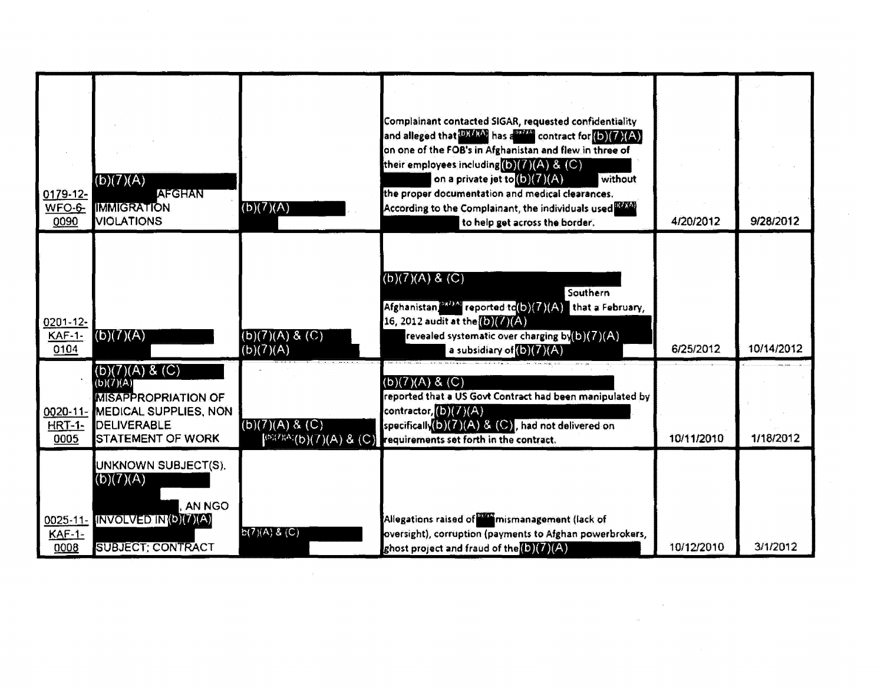| 0179-12-<br>WFO-6-<br>0090           | (b)(7)(A)<br>AFGHAN<br><b>IMMIGRATION</b><br><b>VIOLATIONS</b>                                                                                  | (b)(7)(A)                    | Complainant contacted SIGAR, requested confidentiality<br>and alleged that <b>DK KO</b> has a contract for (b) (Z)(A)<br>on one of the FOB's in Afghanistan and flew in three of<br>their employees including (b)(7)(A) & (C)<br>on a private jet to (b) (7)(A)<br>without<br>the proper documentation and medical clearances.<br>According to the Complainant, the individuals used WAW<br>to help get across the border. | 4/20/2012  | 9/28/2012  |
|--------------------------------------|-------------------------------------------------------------------------------------------------------------------------------------------------|------------------------------|----------------------------------------------------------------------------------------------------------------------------------------------------------------------------------------------------------------------------------------------------------------------------------------------------------------------------------------------------------------------------------------------------------------------------|------------|------------|
| $0201 - 12$<br><b>KAF-1-</b><br>0104 | (b)(7)(A)                                                                                                                                       | (b)(7)(A) 8 (C)<br>(b)(7)(A) | (b)(7)(A) 8 (C)<br>Southern<br>Afghanistan, BADA reported to (b)(7)(A) that a February,<br>16, 2012 audit at the (b) (Z) (A)<br>revealed systematic over charging by (b) (7) (A)<br>a subsidiary of $(b)(7)(A)$                                                                                                                                                                                                            | 6/25/2012  | 10/14/2012 |
| <b>HRT-1-</b><br>0005                | (b)(7)(A) 8 (C)<br>(b)(7)(A)<br><b>MISAPPROPRIATION OF</b><br>0020-11- MEDICAL SUPPLIES, NON<br><b>IDELIVERABLE</b><br><b>STATEMENT OF WORK</b> | (b)(7)(A) 8 (C)              | (b)(7)(A) 8 (C)<br>reported that a US Govt Contract had been manipulated by<br>contractor, $(b)(7)(A)$<br>specifically $(b)(7)(A)$ & $(C)$ , had not delivered on<br>(b)(7)(A)(A) & (C) requirements set forth in the contract.                                                                                                                                                                                            | 10/11/2010 | 1/18/2012  |
| 0025-11-<br><b>KAF-1-</b><br>0008    | UNKNOWN SUBJECT(S).<br>$\overline{(b)}$ $\overline{(7)}$ $\overline{(A)}$<br>AN NGO<br>INVOLVED IN(b)(7)(A)<br><b>SUBJECT; CONTRACT</b>         | $b(7)(A)$ & (C)              | Allegations raised of <b>Figure</b> mismanagement (lack of<br>oversight), corruption (payments to Afghan powerbrokers,<br>ghost project and fraud of the (D)(Z)(A)                                                                                                                                                                                                                                                         | 10/12/2010 | 3/1/2012   |

 $\sim$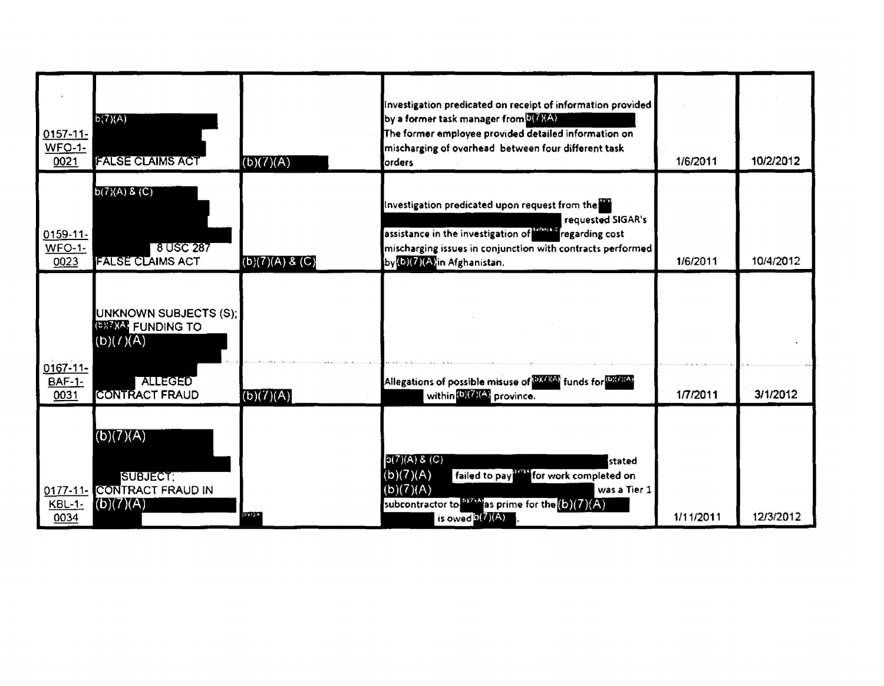| $0157 - 11 -$<br><b>WFO-1-</b><br>0021 | b(7)(A)<br><b>FALSE CLAIMS ACT</b>                                      | $\overline{(b)(7)(A)}$ | Investigation predicated on receipt of information provided<br>by a former task manager from DITAA<br>The former employee provided detailed information on<br>mischarging of overhead between four different task<br>orders            | 1/6/2011  | 10/2/2012 |
|----------------------------------------|-------------------------------------------------------------------------|------------------------|----------------------------------------------------------------------------------------------------------------------------------------------------------------------------------------------------------------------------------------|-----------|-----------|
| $0159 - 11$<br><b>WFO-1-</b><br>0023   | $b(7)(A)$ & (C)<br>8 USC 287<br><b>FALSE CLAIMS ACT</b>                 | (b)(7)(A) 8 (C)        | Investigation predicated upon request from the<br>requested SIGAR's<br>assistance in the investigation of <i>interest</i> regarding cost<br>mischarging issues in conjunction with contracts performed<br>by (b)(7)(A) in Afghanistan. | 1/6/2011  | 10/4/2012 |
|                                        | UNKNOWN SUBJECTS (S);<br><b>BIMAL FUNDING TO</b><br>(b)(1)(A)           |                        |                                                                                                                                                                                                                                        |           |           |
| $0167 - 11 -$<br>$BAF-1-$<br>0031      | <b>ALLEGED</b><br><b>CONTRACT FRAUD</b>                                 | $\overline{(b)(7)(A)}$ | Allegations of possible misuse of <b>DXXXX</b> funds for <b>DRATA</b><br>within <b>DITAG</b> province.                                                                                                                                 | 1/7/2011  | 3/1/2012  |
| $KBL-1$ -<br>0034                      | (b)(7)(A)<br><b>SUBJECT:</b><br>0177-11- CONTRACT FRAUD IN<br>(b)(7)(A) | $(5772)$ Å             | D(7)(A) 8 (C)<br>stated<br>failed to pay that for work completed on<br>(b)(7)(A)<br>(b)(7)(A)<br>was a Tier 1<br>subcontractor to <b>DIAM</b> as prime for the (b)(7)(A)<br>is owed $b(7)(A)$                                          | 1/11/2011 | 12/3/2012 |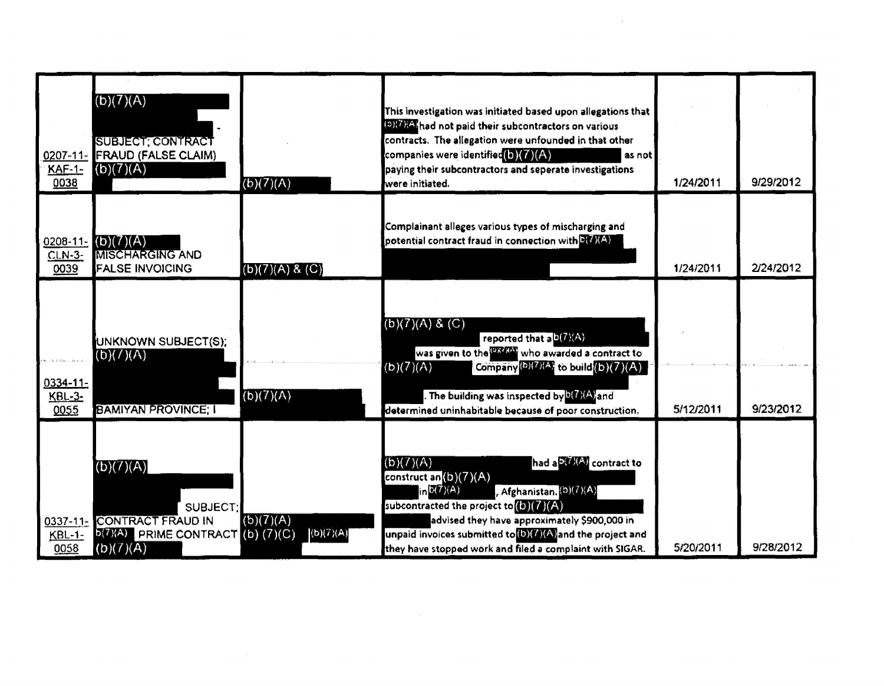| Complainant alleges various types of mischarging and<br>potential contract fraud in connection with D(T)(A)<br>(b)(7)(A)<br>0208-11<br><b>MISCHARGING AND</b><br>$CLN-3-$<br>2/24/2012<br>0039<br><b>FALSE INVOICING</b><br>$\overline{(b)(7)(A)$ & $(C)$<br>1/24/2011<br>(b)(7)(A) & (C)<br>reported that a b(Z)(A)<br>UNKNOWN SUBJECT(S);<br>was given to the <b>ERAN</b> who awarded a contract to<br>(6)(7)(A)<br>(b)(7)(A)<br>Company $(b)$ (7)(4) to build $(b)$ (7)(A)<br>0334-11-<br>$\overline{(b)(7)(A)}$<br>The building was inspected by O. A. and<br><b>KBL-3-</b><br><b>BAMIYAN PROVINCE: I</b><br>9/23/2012<br>5/12/2011<br>0055<br>determined uninhabitable because of poor construction.<br>(b)(7)(A)<br>had a <b>COU</b> contract to<br>$\overline{(b)(7)(A)}$<br>construct an $(b)(7)(A)$<br>$in \mathbb{C}(7)(A)$<br>Afghanistan. (D)(7)(A) | <b>KAF-1-</b><br>0038 | (b)(7)(A)<br>SUBJECT, CONTRACT<br>0207-11- FRAUD (FALSE CLAIM)<br>(b)(7)(A) | (b)(7)(A) | This investigation was initiated based upon allegations that<br>(DK) A had not paid their subcontractors on various<br>contracts. The allegation were unfounded in that other<br>companies were identified (b)(7)(A)<br>as not<br>paying their subcontractors and seperate investigations<br>were initiated. | 1/24/2011 | 9/29/2012 |
|-----------------------------------------------------------------------------------------------------------------------------------------------------------------------------------------------------------------------------------------------------------------------------------------------------------------------------------------------------------------------------------------------------------------------------------------------------------------------------------------------------------------------------------------------------------------------------------------------------------------------------------------------------------------------------------------------------------------------------------------------------------------------------------------------------------------------------------------------------------------|-----------------------|-----------------------------------------------------------------------------|-----------|--------------------------------------------------------------------------------------------------------------------------------------------------------------------------------------------------------------------------------------------------------------------------------------------------------------|-----------|-----------|
|                                                                                                                                                                                                                                                                                                                                                                                                                                                                                                                                                                                                                                                                                                                                                                                                                                                                 |                       |                                                                             |           |                                                                                                                                                                                                                                                                                                              |           |           |
|                                                                                                                                                                                                                                                                                                                                                                                                                                                                                                                                                                                                                                                                                                                                                                                                                                                                 |                       |                                                                             |           |                                                                                                                                                                                                                                                                                                              |           |           |
| (b)(7)(A)<br>advised they have approximately \$900,000 in<br><b>CONTRACT FRAUD IN</b><br>$0337 - 11 -$<br>  (b) (7) (A)  <br>(b) $(7)(C)$<br>unpaid invoices submitted to (b) (4) and the project and<br><b>b(7)(A)</b> PRIME CONTRACT<br>$KBL-1$ -                                                                                                                                                                                                                                                                                                                                                                                                                                                                                                                                                                                                             |                       | SUBJECT:                                                                    |           | subcontracted the project to (b) (Z)(A)                                                                                                                                                                                                                                                                      |           |           |

 $\mathcal{L}^{\text{max}}_{\text{max}}$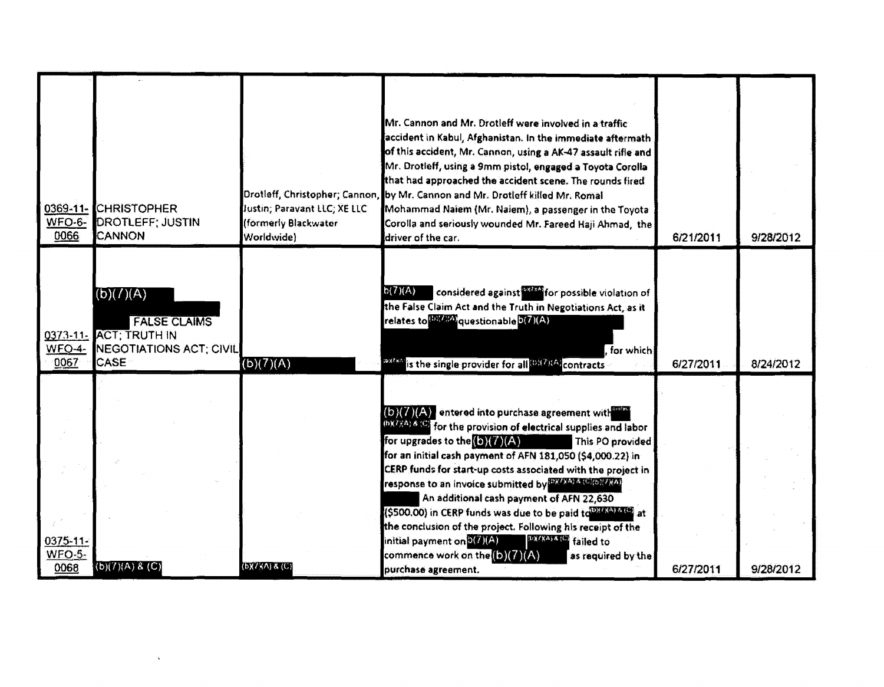| 0369-11-<br><b>WFO-6-</b><br>0066 | <b>CHRISTOPHER</b><br><b>DROTLEFF; JUSTIN</b><br><b>CANNON</b>                                | Justin; Paravant LLC; XE LLC<br>(formerly Blackwater<br>Worldwide) | Mr. Cannon and Mr. Drotleff were involved in a traffic<br>accident in Kabul, Afghanistan. In the immediate aftermath<br>of this accident, Mr. Cannon, using a AK-47 assault rifle and<br>Mr. Drotleff, using a 9mm pistol, engaged a Toyota Corolla<br>that had approached the accident scene. The rounds fired<br>Drotleff, Christopher; Cannon, by Mr. Cannon and Mr. Drotleff killed Mr. Romal<br>Mohammad Naiem (Mr. Naiem), a passenger in the Toyota<br>Corolla and seriously wounded Mr. Fareed Haji Ahmad, the<br>driver of the car.                                                                                                                                                                                   | 6/21/2011 | 9/28/2012 |
|-----------------------------------|-----------------------------------------------------------------------------------------------|--------------------------------------------------------------------|--------------------------------------------------------------------------------------------------------------------------------------------------------------------------------------------------------------------------------------------------------------------------------------------------------------------------------------------------------------------------------------------------------------------------------------------------------------------------------------------------------------------------------------------------------------------------------------------------------------------------------------------------------------------------------------------------------------------------------|-----------|-----------|
| <b>WEQ-4-</b><br>0067             | (b)(7)(A)<br><b>FALSE CLAIMS</b><br>0373-11- ACT, TRUTH IN<br>NEGOTIATIONS ACT; CIVIL<br>CASE | (b)(7)(A)                                                          | b(7)(A)<br>considered against for possible violation of<br>the False Claim Act and the Truth in Negotiations Act, as it<br>relates to <b>DWAN</b> questionable <sup>D</sup> (7)(A)<br>for which<br><b>BX73A is the single provider for all (DX73A) contracts</b>                                                                                                                                                                                                                                                                                                                                                                                                                                                               | 6/27/2011 | 8/24/2012 |
| 0375-11-<br><b>WFO-5-</b><br>0068 | $(b)(7)(A)$ & $(C)$                                                                           | $(DX^7XA) 8 (C)$                                                   | (b)(7)(A) entered into purchase agreement with<br><b>IDX7FA) &amp; (8)</b> for the provision of electrical supplies and labor<br>for upgrades to the $(\bullet)(7)(A)$<br>This PO provided<br>for an initial cash payment of AFN 181,050 (\$4,000.22) in<br>CERP funds for start-up costs associated with the project in<br>response to an invoice submitted by the tale (b)(2)(A)<br>An additional cash payment of AFN 22,630<br>(\$500.00) in CERP funds was due to be paid to the MATA at<br>the conclusion of the project. Following his receipt of the<br><b>DITION CO</b> failed to<br>initial payment on $\mathfrak{D}(7)(\mathsf{A})$<br>commence work on the (b) (7) (A)<br>as required by the<br>purchase agreement. | 6/27/2011 | 9/28/2012 |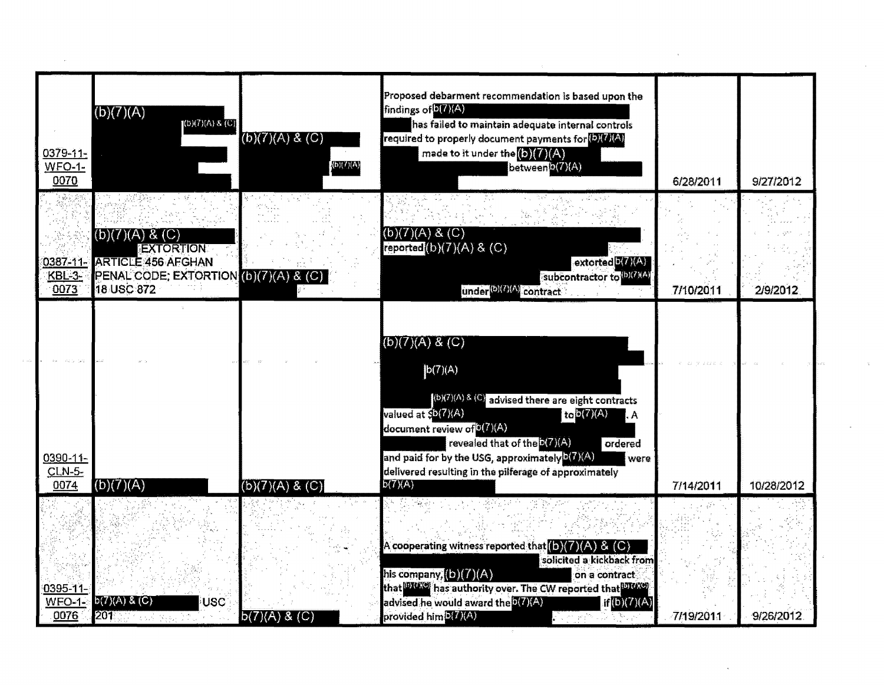| $0379 - 11 -$<br><b>WFO-1-</b><br>0070 | (b)(7)(A)<br>(0)(7)(A) & (C)                                                                                           | $(b)(7)(A)$ & (C)<br>$\langle \mathrm{fb} \rangle (I) (A)$ | Proposed debarment recommendation is based upon the<br>findings of $D(A)(A)$<br>has failed to maintain adequate internal controls<br>required to properly document payments for (D)(7)(A)<br>made to it under the (b) (7)(A)<br>between <sup>(b</sup> (7)(A)                                                 | 6/28/2011 | 9/27/2012  |
|----------------------------------------|------------------------------------------------------------------------------------------------------------------------|------------------------------------------------------------|--------------------------------------------------------------------------------------------------------------------------------------------------------------------------------------------------------------------------------------------------------------------------------------------------------------|-----------|------------|
| <b>KBL-3-</b><br>0073                  | (b)(7)(A) & (C)<br>EXTORTION<br>0387-11- ARTICLE 456 AFGHAN<br>PENAL CODE; EXTORTION $(b)(7)(A)$ & $(C)$<br>18 USC 872 |                                                            | (b)(7)(A) 8 (C)<br>reported(b)(7)(A) & (C)<br>extorted b(7)(A)<br>subcontractor to (b)(7)(A)<br>under (b)(4)(A) contract                                                                                                                                                                                     | 7/10/2011 | 2/9/2012   |
|                                        |                                                                                                                        |                                                            | (b)(7)(A) & (C)<br> b(7)(A) <br>(b)(7)(A) & (C) advised there are eight contracts<br>valued at \$b(7)(A)<br>to $b(7)(A)$<br>l. A                                                                                                                                                                             |           |            |
| 0390-11-<br><b>CLN-5-</b><br>0074      | (b)(7)(A)                                                                                                              | (b)(7)(A) 8 (C)                                            | document review of $O(7)(A)$<br>revealed that of the D(7)(A)<br>ordered<br>and paid for by the USG, approximately D(7)(A)<br>were<br>delivered resulting in the pilferage of approximately<br>b(7)(A)                                                                                                        | 7/14/2011 | 10/28/2012 |
| 0395-11-<br>$WFO-1-$<br>0076           | $b(7)(A)$ & $(C)$<br><b>USC</b><br>201<br>at the News                                                                  | b(7)(A) 8 (C)                                              | A cooperating witness reported that $(b)(7)(A)$ & $(C)$<br>solicited a kickback from<br>his company, (b)(7)(A)<br>on a contract<br>that <b>1914. The set of the state of the CW</b> reported that <b>1914. (9)</b><br>advised he would award the D(7)(A)<br>$_{\text{eff}}(5)(7)(A)$<br>provided him D(7)(A) | 7/19/2011 | 9/26/2012  |

 $\mathcal{O}(\mathcal{O}(\log n))$ 

 $\sim 10^{11}$ 

 $\mathbf{v}$ 

 $\sim$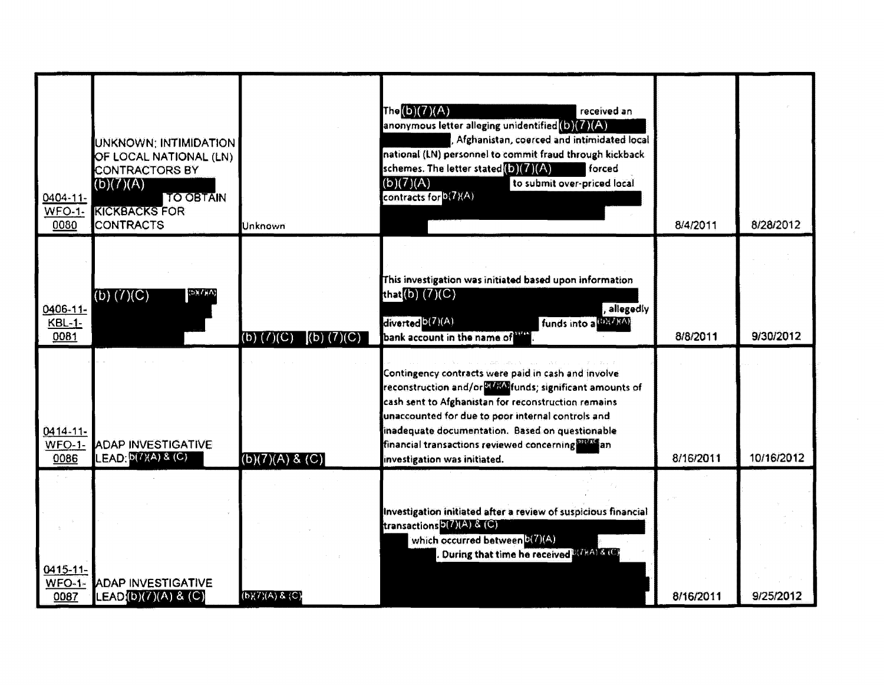| 0404-11-<br><b>WFO-1-</b><br>0080    | UNKNOWN: INTIMIDATION<br>OF LOCAL NATIONAL (LN)<br><b>CONTRACTORS BY</b><br>(b)(7)(A)<br><b>TO OBTAIN</b><br><b>KICKBACKS FOR</b><br><b>CONTRACTS</b> | Unknown                          | The $(b)(7)(A)$<br>received an<br>anonymous letter alleging unidentified (b)(7)(A)<br>Afghanistan, coerced and intimidated local<br>national (LN) personnel to commit fraud through kickback.<br>schemes. The letter stated (b) (7) (A)<br>forced<br>(b)(7)(A)<br>to submit over-priced local<br>contracts for $b(7)(A)$                                                         | 8/4/2011  | 8/28/2012  |
|--------------------------------------|-------------------------------------------------------------------------------------------------------------------------------------------------------|----------------------------------|----------------------------------------------------------------------------------------------------------------------------------------------------------------------------------------------------------------------------------------------------------------------------------------------------------------------------------------------------------------------------------|-----------|------------|
| 0406-11-<br>$KBL-1$ -<br>0081        | $\left\{ \mathrm{DX}\mathcal{U}\right\} \mathbb{A}\mathbb{A}$<br>$\overline{(b) (7)(C)}$                                                              | $(b)$ $(7)(C)$<br>$(b)$ $(7)(C)$ | This investigation was initiated based upon information<br>that $(b)$ $(7)(C)$<br>, allegedly<br>diverted $b(7)(A)$<br>funds into a libit (MA)<br>bank account in the name of                                                                                                                                                                                                    | 8/8/2011  | 9/30/2012  |
| 0414-11-<br><b>WFO-1-</b><br>0086    | <b>ADAP INVESTIGATIVE</b><br>EAD: D(7)(A) & (C)                                                                                                       | (b)(7)(A) 8 (C)                  | Contingency contracts were paid in cash and involve<br>reconstruction and/or <sup>p(ARA)</sup> funds; significant amounts of<br>cash sent to Afghanistan for reconstruction remains<br>unaccounted for due to poor internal controls and<br>inadequate documentation. Based on questionable<br>financial transactions reviewed concerning and an<br>investigation was initiated. | 8/16/2011 | 10/16/2012 |
| $0415 - 11$<br><b>WFO-1-</b><br>0087 | <b>ADAP INVESTIGATIVE</b><br>LEAD(b)(7)(A) & (C)                                                                                                      | $(b)(7)(A)$ & (C)                | Investigation initiated after a review of suspicious financial<br>transactions D(7)(A) & (C)<br>which occurred between b(7)(A)<br>During that time he received MAAY & IC                                                                                                                                                                                                         | 8/16/2011 | 9/25/2012  |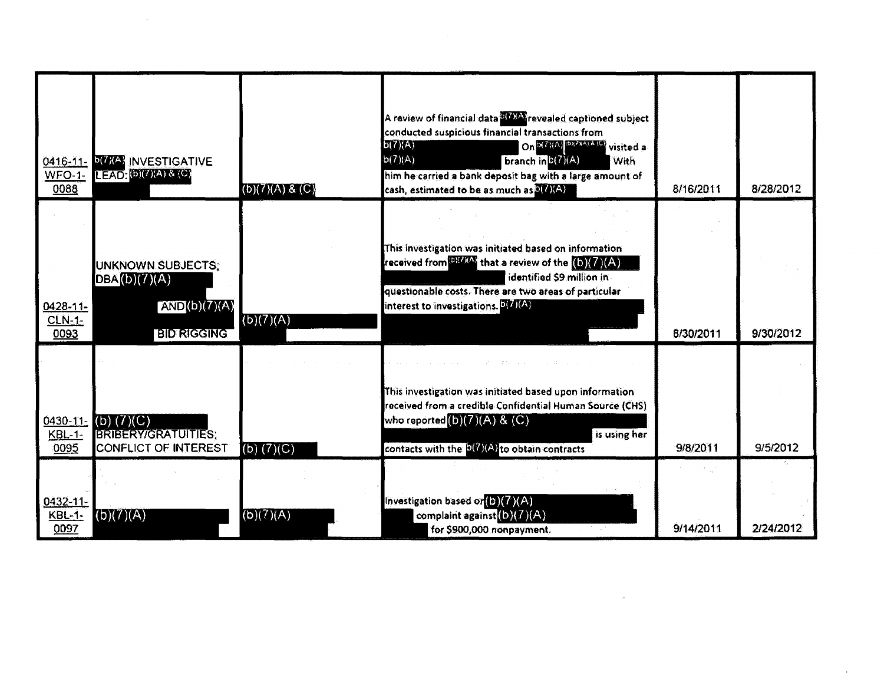| $0416 - 11$<br><b>WFO-1-</b><br>0088 | <b>DIVICE INVESTIGATIVE</b><br>$LEAD:$ $(D)(7)(A) 8 (C)$                | (b)(7)(A) 8 (C)        | A review of financial data <sup>317XA</sup> revealed captioned subject<br>conducted suspicious financial transactions from<br>b(7)(A)<br>On $(A^2)(A)$ DRAIA) & (C)<br>visited a<br>b(7)(A)<br>branch in $b(7)(A)$<br><b>With</b><br>him he carried a bank deposit bag with a large amount of<br>cash, estimated to be as much as O(7)(A) | 8/16/2011 | 8/28/2012 |
|--------------------------------------|-------------------------------------------------------------------------|------------------------|-------------------------------------------------------------------------------------------------------------------------------------------------------------------------------------------------------------------------------------------------------------------------------------------------------------------------------------------|-----------|-----------|
| 0428-11-<br>$CLN-1-$<br>0093         | UNKNOWN SUBJECTS:<br>DBA(D)(7)(A)<br>AND(b)(7)(A)<br><b>BID RIGGING</b> | $\overline{(b)(7)(A)}$ | This investigation was initiated based on information<br>received from <b>ORAN</b> that a review of the (b)(7)(A)<br>identified \$9 million in<br>questionable costs. There are two areas of particular<br>interest to investigations. D. 71(A)                                                                                           | 8/30/2011 | 9/30/2012 |
| 0430-11-<br>$KBL-1-$<br>0095         | (b) $(7)(C)$<br><b>BRIBERY/GRATUITIES:</b><br>CONFLICT OF INTEREST      | (b) (7)(C)             | This investigation was initiated based upon information<br>received from a credible Confidential Human Source (CHS)<br>who reported $(b)(7)(A)$ & $(C)$<br>is using her<br>contacts with the <b>BIZ (2)</b> to obtain contracts                                                                                                           | 9/8/2011  | 9/5/2012  |
| $0432 - 11$<br><b>KBL-1-</b><br>0097 | (b)(7)(A)                                                               | (b)(7)(A)              | Investigation based or $\left(\bullet\right)\left(7\right)\left(A\right)$<br>complaint against $(b)(7)(A)$<br>for \$900,000 nonpayment.                                                                                                                                                                                                   | 9/14/2011 | 2/24/2012 |

 $\sim$   $\sim$ 

 $\sim 100$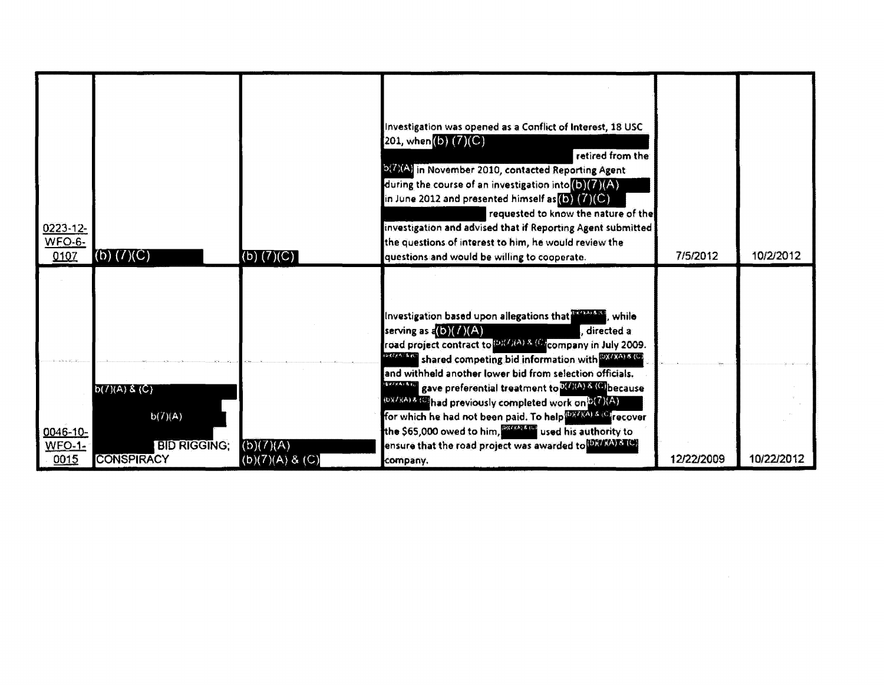| 0223-12-<br><b>WFO-6-</b><br>0107 | $\overline{(b)}$ $\overline{(7)}$ $\overline{(C)}$                               | $(b)$ $(7)(C)$               | Investigation was opened as a Conflict of Interest, 18 USC<br>201, when $(b)$ $(7)(C)$<br>retired from the<br>b(7)(A) in November 2010, contacted Reporting Agent<br>during the course of an investigation into (b) (7) (A)<br>in June 2012 and presented himself as $(b)$ $(7)(C)$<br>requested to know the nature of the<br>investigation and advised that if Reporting Agent submitted<br>the questions of interest to him, he would review the<br>questions and would be willing to cooperate.                                                                                                                    | 7/5/2012   | 10/2/2012  |
|-----------------------------------|----------------------------------------------------------------------------------|------------------------------|-----------------------------------------------------------------------------------------------------------------------------------------------------------------------------------------------------------------------------------------------------------------------------------------------------------------------------------------------------------------------------------------------------------------------------------------------------------------------------------------------------------------------------------------------------------------------------------------------------------------------|------------|------------|
| 0046-10-<br><b>WFO-1-</b><br>0015 | $\overline{b(7)(A) \& C}$<br>b(7)(A)<br><b>BID RIGGING:</b><br><b>CONSPIRACY</b> | (b)(7)(A)<br>(b)(7)(A) 8 (C) | Investigation based upon allegations that<br>while<br>serving as $a(b)(7)(A)$<br>directed a<br>road project contract to (D)(C)(A) & (C) company in July 2009.<br>shared competing bid information with <b>EXTAA S (C)</b><br>and withheld another lower bid from selection officials.<br>gave preferential treatment to WAMA & Obecause<br>(DX/KA) & (C) had previously completed work on D(C)(A).<br>for which he had not been paid. To help WX/KA) & Cirecover<br>the \$65,000 owed to him, <b>BRAKARAN</b> used his authority to<br>ensure that the road project was awarded to <b>[0](2)(A)X-T(9)</b><br>company. | 12/22/2009 | 10/22/2012 |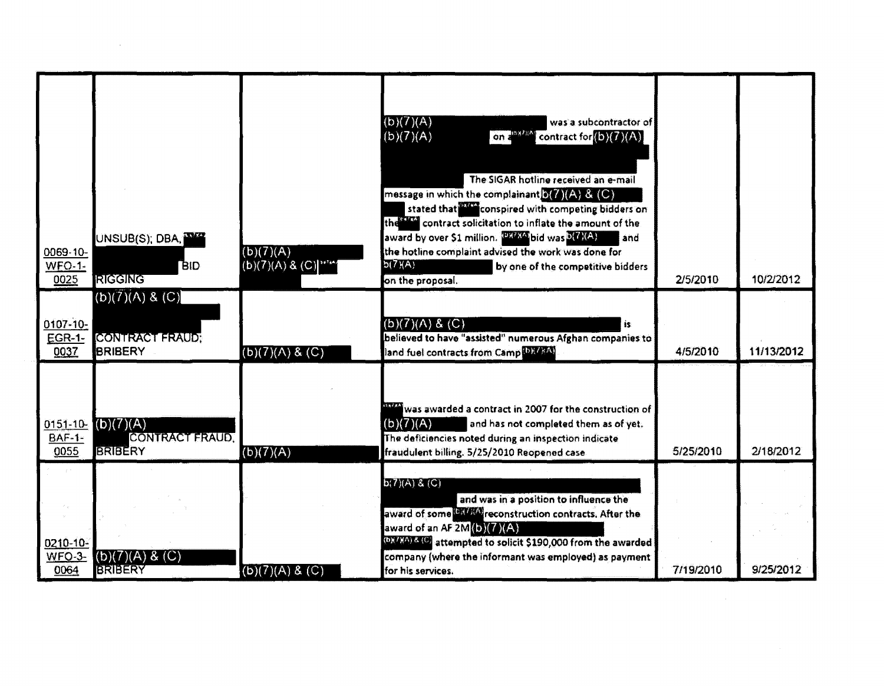| 0069-10-<br><b>WFO-1-</b><br>0025      | UNSUB(S); DBA, j<br>BID<br><b>IRIGGING</b>                  | (b)(7)(A)<br>$(b)(7)(A)$ & $(C)$ <sup>1434</sup> | (b)(7)(A)<br>was a subcontractor of<br>on allowance<br>(b)(7)(A)<br>contract for $(b)(7)(A)$<br>The SIGAR hotline received an e-mail<br>message in which the complainant $o(7)(A)$ & $(C)$<br>stated that conspired with competing bidders on<br>contract solicitation to inflate the amount of the<br>award by over \$1 million. <b>BXXX</b> bid was <b>B(7)(A)</b><br>and<br>the hotline complaint advised the work was done for<br>5(7)(A)<br>by one of the competitive bidders<br>on the proposal. | 2/5/2010  | 10/2/2012  |
|----------------------------------------|-------------------------------------------------------------|--------------------------------------------------|--------------------------------------------------------------------------------------------------------------------------------------------------------------------------------------------------------------------------------------------------------------------------------------------------------------------------------------------------------------------------------------------------------------------------------------------------------------------------------------------------------|-----------|------------|
| 0107-10-<br><b>EGR-1-</b><br>0037      | (b)(7)(A) 8 (C)<br><b>CONTRACT FRAUD:</b><br><b>BRIBERY</b> | $(6)(7)(A)$ & (C)                                | (b)(7)(A) & (C)<br>is<br>believed to have "assisted" numerous Afghan companies to<br>land fuel contracts from Camp DX (RA)                                                                                                                                                                                                                                                                                                                                                                             | 4/5/2010  | 11/13/2012 |
| $0151 - 10 -$<br><b>BAF-1-</b><br>0055 | (b)(7)(A)<br>CONTRACT FRAUD.<br><b>BRIBERY</b>              | (b)(7)(A)                                        | was awarded a contract in 2007 for the construction of<br>(b)(7)(A)<br>and has not completed them as of yet.<br>The deficiencies noted during an inspection indicate<br>fraudulent billing. 5/25/2010 Reopened case                                                                                                                                                                                                                                                                                    | 5/25/2010 | 2/18/2012  |
| 0210-10-<br>$WFO-3-$<br>0064           | (b)(7)(A) 8 (C)<br><b>BRIBERY</b>                           | (b)(7)(A) 8 (C)                                  | b(7)(A) & (C)<br>and was in a position to influence the<br>award of some Bitchereconstruction contracts. After the<br>award of an AF 2M(b)(Z)(A)<br>(DX7)(A) & (C) attempted to solicit \$190,000 from the awarded<br>company (where the informant was employed) as payment<br>for his services.                                                                                                                                                                                                       | 7/19/2010 | 9/25/2012  |

 $\mathcal{L}^{\mathcal{L}}(\mathcal{L}^{\mathcal{L}})$  and  $\mathcal{L}^{\mathcal{L}}(\mathcal{L}^{\mathcal{L}})$  and  $\mathcal{L}^{\mathcal{L}}(\mathcal{L}^{\mathcal{L}})$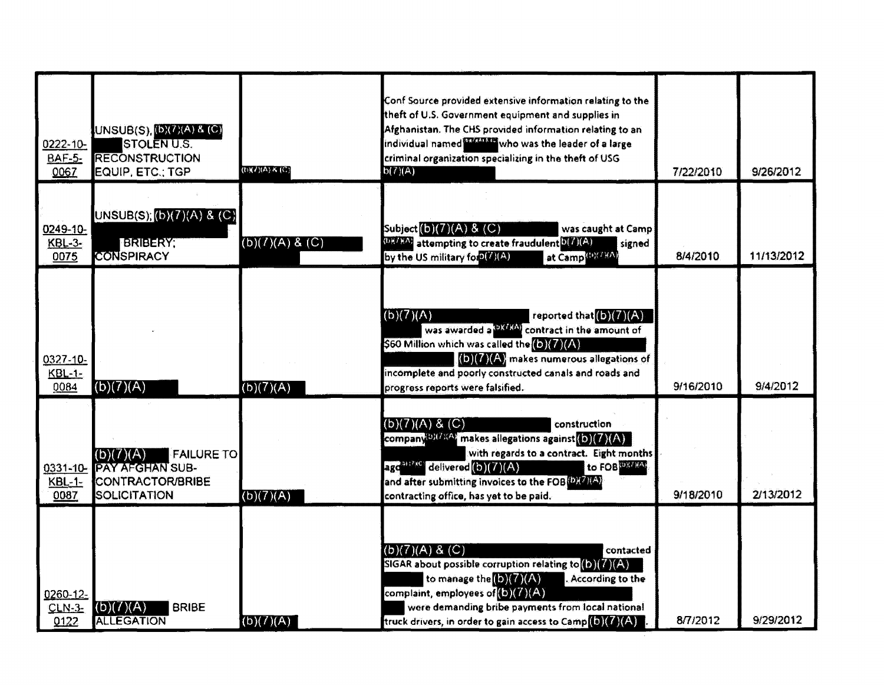| 0222-10-<br><b>BAF-5-</b><br>0067 | UNSUB(S), (D)(7)(A) & (C)<br>STOLENU.S.<br><b>RECONSTRUCTION</b><br>EQUIP, ETC.; TGP                  | $(b)(A) \wedge (C)$    | Conf Source provided extensive information relating to the<br>theft of U.S. Government equipment and supplies in<br>Afghanistan. The CHS provided information relating to an<br>individual named was who was the leader of a large<br>criminal organization specializing in the theft of USG<br>b(7)(A)      | 7/22/2010 | 9/26/2012  |
|-----------------------------------|-------------------------------------------------------------------------------------------------------|------------------------|--------------------------------------------------------------------------------------------------------------------------------------------------------------------------------------------------------------------------------------------------------------------------------------------------------------|-----------|------------|
| 0249-10-<br>$KBL-3$ -<br>0075     | UNSUB(S); $(b)(7)(A) 8 (C)$<br><b>BRIBERY:</b><br><b>CONSPIRACY</b>                                   | (b)(7)(A) 8 (C)        | Subject $(b)(7)(A)$ & $(C)$<br>was caught at Camp<br>(DR/RA) attempting to create fraudulent D(7)(A)<br>signed<br>at Camp (D)(Z)(A)<br>by the US military for (7)(A)                                                                                                                                         | 8/4/2010  | 11/13/2012 |
| 0327-10-<br>$KBL-1-$<br>0084      | $\overline{(b)(7)(A)}$                                                                                | $\overline{(b)(7)(A)}$ | (b)(7)(A)<br>reported that $(b)(7)(A)$<br>was awarded a <sup>(DXZXA)</sup> contract in the amount of<br>\$60 Million which was called the (b) (7) (A)<br>(b)(7)(A) makes numerous allegations of<br>incomplete and poorly constructed canals and roads and<br>progress reports were falsified.               | 9/16/2010 | 9/4/2012   |
| $KBL-1-$<br>0087                  | (b)(7)(A)<br><b>FAILURE TO</b><br>0331-10- PAY AFGHAN SUB-<br><b>CONTRACTOR/BRIBE</b><br>SOLICITATION | $\overline{(b)(7)(A)}$ | (b)(7)(A) & (C)<br>construction<br>company <sup>(D)(7</sup> XA) makes allegations against(D)(7)(A)<br>with regards to a contract. Eight months<br>age <sup>ory c</sup> delivered (b)(7)(A)<br>to FOB DXAXA<br>and after submitting invoices to the FOB (D) (7)(A)<br>contracting office, has yet to be paid. | 9/18/2010 | 2/13/2012  |
| 0260-12-<br>CLN-3-<br>0122        | <b>BRIBE</b><br>(b)(7)(A)<br><b>ALLEGATION</b>                                                        | (b)(7)(A)              | (b)(7)(A) 8 (C)<br>contacted<br>SIGAR about possible corruption relating to $(D)(7)(A)$<br>to manage the $(b)(7)(A)$<br>. According to the<br>complaint, employees of $(b)(7)(A)$<br>were demanding bribe payments from local national<br>truck drivers, in order to gain access to Camp (b) (7) (A)         | 8/7/2012  | 9/29/2012  |